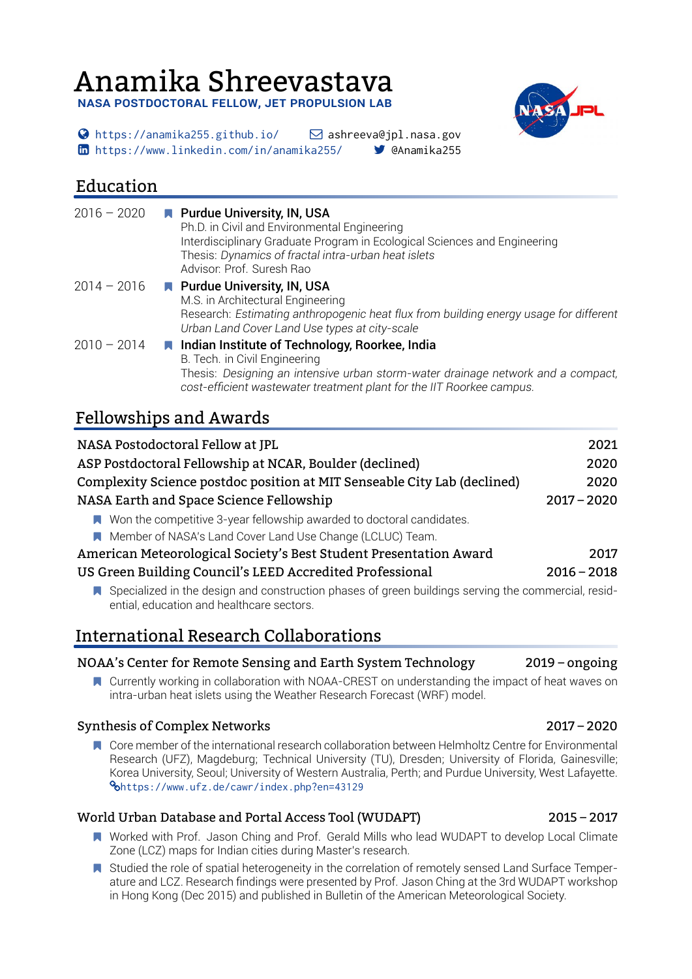# Anamika Shreevastava

**NASA POSTDOCTORAL FELLOW, JET PROPULSION LAB** 

 $\bigcirc$  <https://anamika255.github.io/>  $\bigcirc$  ashreeva@jpl.nasa.gov <https://www.linkedin.com/in/anamika255/> @Anamika255

# Education

| $2016 - 2020$ | <b>N</b> Purdue University, IN, USA<br>Ph.D. in Civil and Environmental Engineering<br>Interdisciplinary Graduate Program in Ecological Sciences and Engineering<br>Thesis: Dynamics of fractal intra-urban heat islets<br>Advisor: Prof. Suresh Rao |
|---------------|------------------------------------------------------------------------------------------------------------------------------------------------------------------------------------------------------------------------------------------------------|
| $2014 - 2016$ | <b>N</b> Purdue University, IN, USA<br>M.S. in Architectural Engineering<br>Research: Estimating anthropogenic heat flux from building energy usage for different<br>Urban Land Cover Land Use types at city-scale                                   |
| $2010 - 2014$ | ■ Indian Institute of Technology, Roorkee, India<br>B. Tech. in Civil Engineering<br>Thesis: Designing an intensive urban storm-water drainage network and a compact,<br>cost-efficient wastewater treatment plant for the IIT Roorkee campus.       |

# Fellowships and Awards

| NASA Postodoctoral Fellow at JPL                                                                                                                   | 2021          |
|----------------------------------------------------------------------------------------------------------------------------------------------------|---------------|
| ASP Postdoctoral Fellowship at NCAR, Boulder (declined)                                                                                            | 2020          |
| Complexity Science postdoc position at MIT Senseable City Lab (declined)                                                                           | 2020          |
| NASA Earth and Space Science Fellowship                                                                                                            | $2017 - 2020$ |
| ■ Won the competitive 3-year fellowship awarded to doctoral candidates.                                                                            |               |
| Member of NASA's Land Cover Land Use Change (LCLUC) Team.                                                                                          |               |
| American Meteorological Society's Best Student Presentation Award                                                                                  | 2017          |
| US Green Building Council's LEED Accredited Professional                                                                                           | $2016 - 2018$ |
| ■ Specialized in the design and construction phases of green buildings serving the commercial, resid-<br>ential, education and healthcare sectors. |               |

# International Research Collaborations

### NOAA's Center for Remote Sensing and Earth System Technology 2019 – ongoing

**N** Currently working in collaboration with NOAA-CREST on understanding the impact of heat waves on intra-urban heat islets using the Weather Research Forecast (WRF) model.

### Synthesis of Complex Networks 2017 – 2020

**N** Core member of the international research collaboration between Helmholtz Centre for Environmental Research (UFZ), Magdeburg; Technical University (TU), Dresden; University of Florida, Gainesville; Korea University, Seoul; University of Western Australia, Perth; and Purdue University, West Lafayette. <https://www.ufz.de/cawr/index.php?en=43129>

### World Urban Database and Portal Access Tool (WUDAPT) 2015 – 2017

- Worked with Prof. Jason Ching and Prof. Gerald Mills who lead WUDAPT to develop Local Climate Zone (LCZ) maps for Indian cities during Master's research.
- **N** Studied the role of spatial heterogeneity in the correlation of remotely sensed Land Surface Temperature and LCZ. Research findings were presented by Prof. Jason Ching at the 3rd WUDAPT workshop in Hong Kong (Dec 2015) and published in Bulletin of the American Meteorological Society.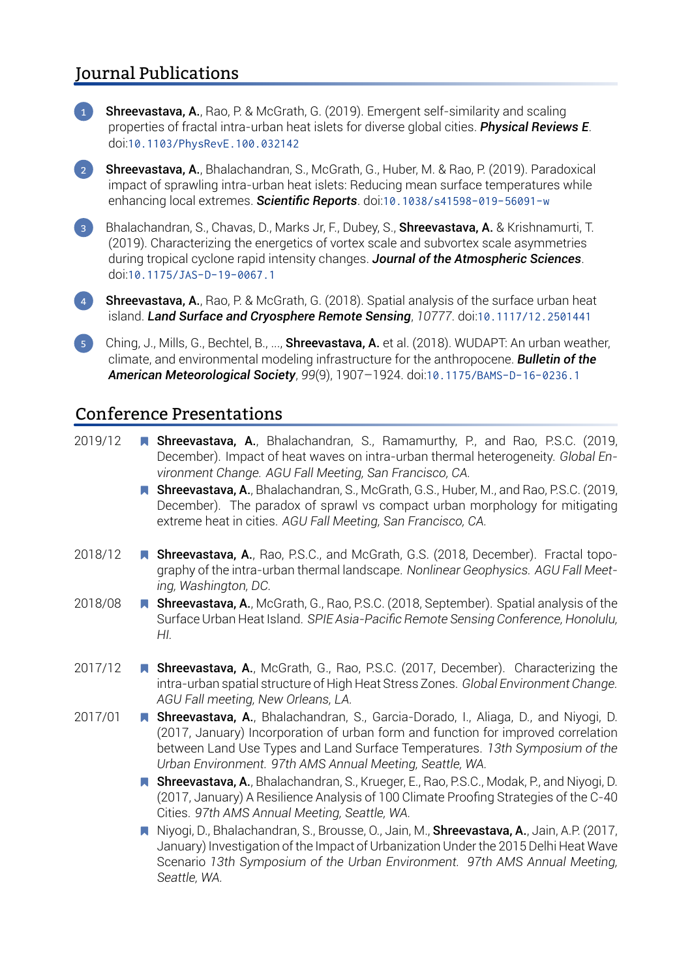# Journal Publications



**Shreevastava, A.**, Rao, P. & McGrath, G. (2019). Emergent self-similarity and scaling properties of fractal intra-urban heat islets for diverse global cities. *Physical Reviews E*. doi:[10.1103/PhysRevE.100.032142](https://dx.doi.org/10.1103/PhysRevE.100.032142)

**2 Shreevastava, A.**, Bhalachandran, S., McGrath, G., Huber, M. & Rao, P. (2019). Paradoxical impact of sprawling intra-urban heat islets: Reducing mean surface temperatures while enhancing local extremes. *Scientific Reports*. doi:[10.1038/s41598-019-56091-w](https://dx.doi.org/10.1038/s41598-019-56091-w)

**3** Bhalachandran, S., Chavas, D., Marks Jr, F., Dubey, S., **Shreevastava, A.** & Krishnamurti, T. (2019). Characterizing the energetics of vortex scale and subvortex scale asymmetries during tropical cyclone rapid intensity changes. *Journal of the Atmospheric Sciences*. doi:[10.1175/JAS-D-19-0067.1](https://dx.doi.org/10.1175/JAS-D-19-0067.1)

**4 Shreevastava, A.**, Rao, P. & McGrath, G. (2018). Spatial analysis of the surface urban heat island. *Land Surface and Cryosphere Remote Sensing*, *10777*. doi:[10.1117/12.2501441](https://dx.doi.org/10.1117/12.2501441)

5 Ching, J., Mills, G., Bechtel, B., ..., Shreevastava, A. et al. (2018). WUDAPT: An urban weather, climate, and environmental modeling infrastructure for the anthropocene. *Bulletin of the American Meteorological Society*, *99*(9), 1907–1924. doi:[10.1175/BAMS-D-16-0236.1](https://dx.doi.org/10.1175/BAMS-D-16-0236.1)

### Conference Presentations

2019/12 **N Shreevastava, A.**, Bhalachandran, S., Ramamurthy, P., and Rao, P.S.C. (2019, December). Impact of heat waves on intra-urban thermal heterogeneity. *Global Environment Change. AGU Fall Meeting, San Francisco, CA.*

> ■ Shreevastava, A., Bhalachandran, S., McGrath, G.S., Huber, M., and Rao, P.S.C. (2019, December). The paradox of sprawl vs compact urban morphology for mitigating extreme heat in cities. *AGU Fall Meeting, San Francisco, CA.*

- 2018/12 **Number Shreevastava, A.**, Rao, P.S.C., and McGrath, G.S. (2018, December). Fractal topography of the intra-urban thermal landscape. *Nonlinear Geophysics. AGU Fall Meeting, Washington, DC.*
- 2018/08 **Number Shreevastava, A.**, McGrath, G., Rao, P.S.C. (2018, September). Spatial analysis of the Surface Urban Heat Island. *SPIE Asia-Pacific Remote Sensing Conference, Honolulu, HI.*
- 2017/12 **N Shreevastava, A.**, McGrath, G., Rao, P.S.C. (2017, December). Characterizing the intra-urban spatial structure of High Heat Stress Zones. *Global Environment Change. AGU Fall meeting, New Orleans, LA.*
- 2017/01 **N Shreevastava, A.**, Bhalachandran, S., Garcia-Dorado, I., Aliaga, D., and Niyogi, D. (2017, January) Incorporation of urban form and function for improved correlation between Land Use Types and Land Surface Temperatures. *13th Symposium of the Urban Environment. 97th AMS Annual Meeting, Seattle, WA.*
	- **Shreevastava, A.**, Bhalachandran, S., Krueger, E., Rao, P.S.C., Modak, P., and Niyogi, D. (2017, January) A Resilience Analysis of 100 Climate Proofing Strategies of the C-40 Cities. *97th AMS Annual Meeting, Seattle, WA.*
	- Niyogi, D., Bhalachandran, S., Brousse, O., Jain, M., **Shreevastava, A.**, Jain, A.P. (2017, January) Investigation of the Impact of Urbanization Under the 2015 Delhi Heat Wave Scenario *13th Symposium of the Urban Environment. 97th AMS Annual Meeting, Seattle, WA.*